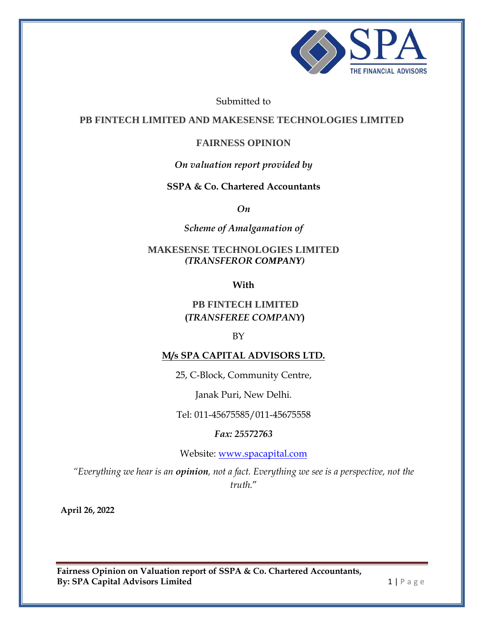

Submitted to

**PB FINTECH LIMITED AND MAKESENSE TECHNOLOGIES LIMITED** 

## **FAIRNESS OPINION**

## *On valuation report provided by*

## **SSPA & Co. Chartered Accountants**

*On* 

*Scheme of Amalgamation of* 

## **MAKESENSE TECHNOLOGIES LIMITED** *(TRANSFEROR COMPANY)*

**With**

## **PB FINTECH LIMITED (***TRANSFEREE COMPANY***)**

## BY

## **M/s SPA CAPITAL ADVISORS LTD.**

25, C-Block, Community Centre,

Janak Puri, New Delhi.

Tel: 011-45675585/011-45675558

*Fax: 25572763*

Website: [www.spacapital.com](http://www.spacapital.com/)

*"Everything we hear is an opinion[, not a fact. Everything we see is a perspective, not the](http://thinkexist.com/quotation/everything_we_hear_is_an_opinion-not_a_fact/344560.html)  [truth.](http://thinkexist.com/quotation/everything_we_hear_is_an_opinion-not_a_fact/344560.html)*"

**April 26, 2022**

**Fairness Opinion on Valuation report of SSPA & Co. Chartered Accountants, By: SPA Capital Advisors Limited 1 | P a g e**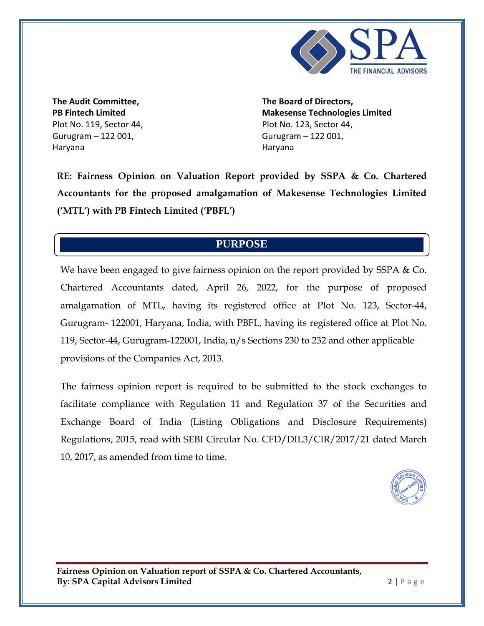

**The Audit Committee, PB Fintech Limited** Plot No. 119, Sector 44, Gurugram – 122 001, Haryana

**The Board of Directors, Makesense Technologies Limited** Plot No. 123, Sector 44, Gurugram – 122 001, Haryana

**RE: Fairness Opinion on Valuation Report provided by SSPA & Co. Chartered Accountants for the proposed amalgamation of Makesense Technologies Limited ('MTL') with PB Fintech Limited ('PBFL')**

#### We have been engaged to give fairness opinion on the valuation report provided by  $\mathbf{r}$ **PURPOSE**

We have been engaged to give fairness opinion on the report provided by SSPA & Co. Chartered Accountants dated, April 26, 2022, for the purpose of proposed amalgamation of MTL, having its registered office at Plot No. 123, Sector-44, Gurugram- 122001, Haryana, India, with PBFL, having its registered office at Plot No. 119, Sector-44, Gurugram-122001, India, u/s Sections 230 to 232 and other applicable provisions of the Companies Act, 2013.

The fairness opinion report is required to be submitted to the stock exchanges to facilitate compliance with Regulation 11 and Regulation 37 of the Securities and Exchange Board of India (Listing Obligations and Disclosure Requirements) Regulations, 2015, read with SEBI Circular No. CFD/DIL3/CIR/2017/21 dated March 10, 2017, as amended from time to time.

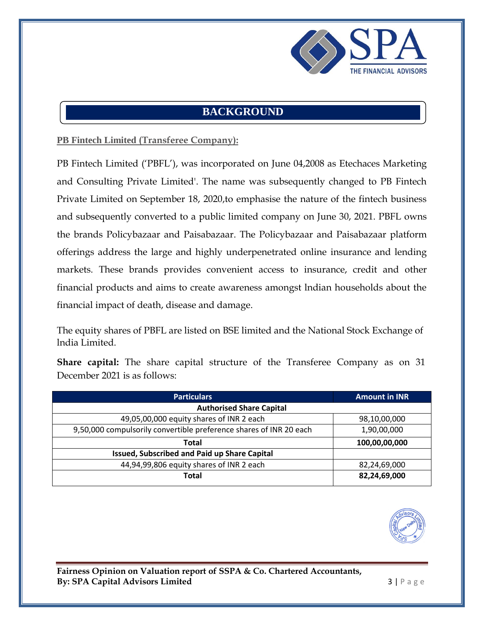

## **BACKGROUND**

## **PB Fintech Limited (Transferee Company):**

PB Fintech Limited ('PBFL'), was incorporated on June 04,2008 as Etechaces Marketing and Consulting Private Limited'. The name was subsequently changed to PB Fintech Private Limited on September 18, 2020,to emphasise the nature of the fintech business and subsequently converted to a public limited company on June 30, 2021. PBFL owns the brands Policybazaar and Paisabazaar. The Policybazaar and Paisabazaar platform offerings address the large and highly underpenetrated online insurance and lending markets. These brands provides convenient access to insurance, credit and other financial products and aims to create awareness amongst lndian households about the financial impact of death, disease and damage.

The equity shares of PBFL are listed on BSE limited and the National Stock Exchange of lndia Limited.

|                              |  |  |  | <b>Share capital:</b> The share capital structure of the Transferee Company as on 31 |  |  |
|------------------------------|--|--|--|--------------------------------------------------------------------------------------|--|--|
| December 2021 is as follows: |  |  |  |                                                                                      |  |  |

| <b>Particulars</b>                                                 | <b>Amount in INR</b> |  |  |  |  |  |  |
|--------------------------------------------------------------------|----------------------|--|--|--|--|--|--|
| <b>Authorised Share Capital</b>                                    |                      |  |  |  |  |  |  |
| 49,05,00,000 equity shares of INR 2 each                           | 98,10,00,000         |  |  |  |  |  |  |
| 9,50,000 compulsorily convertible preference shares of INR 20 each | 1,90,00,000          |  |  |  |  |  |  |
| Total                                                              | 100,00,00,000        |  |  |  |  |  |  |
| Issued, Subscribed and Paid up Share Capital                       |                      |  |  |  |  |  |  |
| 44,94,99,806 equity shares of INR 2 each                           | 82,24,69,000         |  |  |  |  |  |  |
| Total                                                              | 82,24,69,000         |  |  |  |  |  |  |

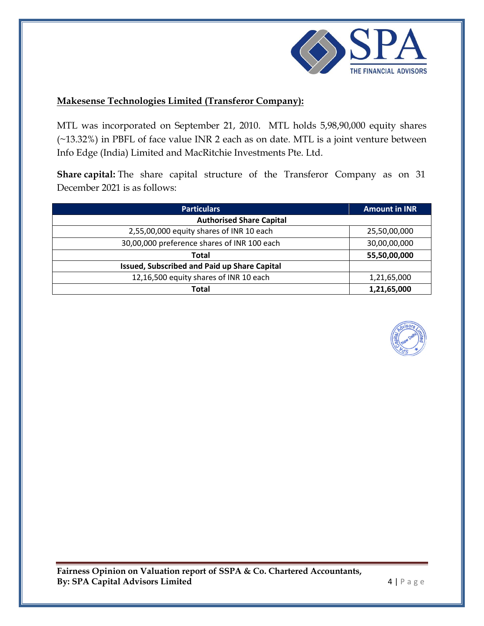

## **Makesense Technologies Limited (Transferor Company):**

MTL was incorporated on September 21, 2010. MTL holds 5,98,90,000 equity shares (~13.32%) in PBFL of face value INR 2 each as on date. MTL is a joint venture between Info Edge (India) Limited and MacRitchie Investments Pte. Ltd.

**Share capital:** The share capital structure of the Transferor Company as on 31 December 2021 is as follows:

| <b>Particulars</b>                           | <b>Amount in INR</b> |
|----------------------------------------------|----------------------|
| <b>Authorised Share Capital</b>              |                      |
| 2,55,00,000 equity shares of INR 10 each     | 25,50,00,000         |
| 30,00,000 preference shares of INR 100 each  | 30,00,00,000         |
| <b>Total</b>                                 | 55,50,00,000         |
| Issued, Subscribed and Paid up Share Capital |                      |
| 12,16,500 equity shares of INR 10 each       | 1,21,65,000          |
| <b>Total</b>                                 | 1,21,65,000          |



**Fairness Opinion on Valuation report of SSPA & Co. Chartered Accountants, By: SPA Capital Advisors Limited 4 | P a g e**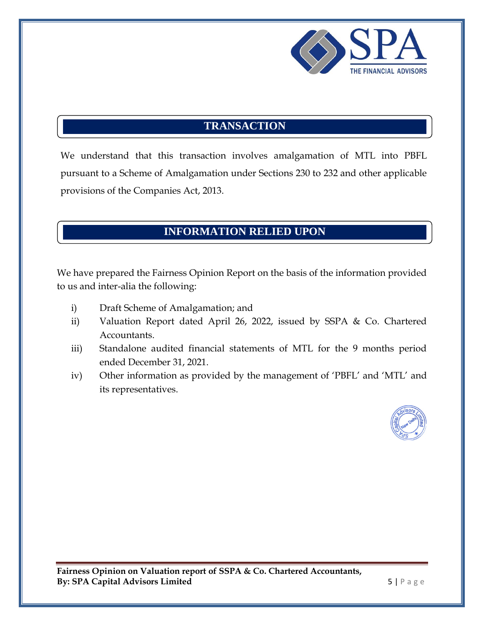

# **TRANSACTION**

We understand that this transaction involves amalgamation of MTL into PBFL pursuant to a Scheme of Amalgamation under Sections 230 to 232 and other applicable provisions of the Companies Act, 2013.

# **INFORMATION RELIED UPON**

We have prepared the Fairness Opinion Report on the basis of the information provided to us and inter-alia the following:

- i) Draft Scheme of Amalgamation; and
- ii) Valuation Report dated April 26, 2022, issued by SSPA & Co. Chartered Accountants.
- iii) Standalone audited financial statements of MTL for the 9 months period ended December 31, 2021.
- iv) Other information as provided by the management of 'PBFL' and 'MTL' and its representatives.

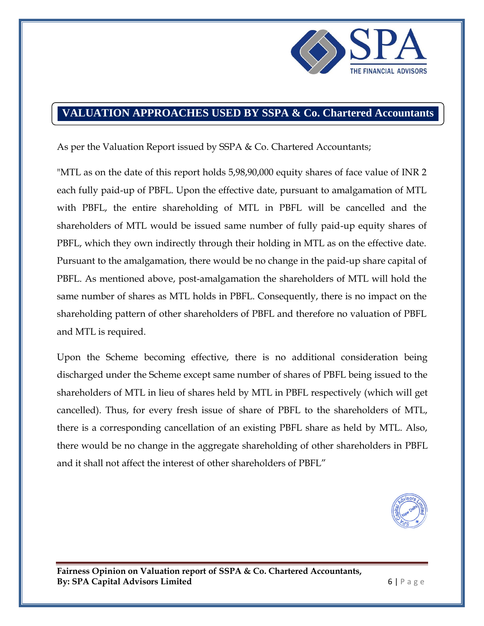

## **VALUATION APPROACHES USED BY SSPA & Co. Chartered Accountants**

As per the Valuation Report issued by SSPA & Co. Chartered Accountants;

"MTL as on the date of this report holds 5,98,90,000 equity shares of face value of INR 2 each fully paid-up of PBFL. Upon the effective date, pursuant to amalgamation of MTL with PBFL, the entire shareholding of MTL in PBFL will be cancelled and the shareholders of MTL would be issued same number of fully paid-up equity shares of PBFL, which they own indirectly through their holding in MTL as on the effective date. Pursuant to the amalgamation, there would be no change in the paid-up share capital of PBFL. As mentioned above, post-amalgamation the shareholders of MTL will hold the same number of shares as MTL holds in PBFL. Consequently, there is no impact on the shareholding pattern of other shareholders of PBFL and therefore no valuation of PBFL and MTL is required.

Upon the Scheme becoming effective, there is no additional consideration being discharged under the Scheme except same number of shares of PBFL being issued to the shareholders of MTL in lieu of shares held by MTL in PBFL respectively (which will get cancelled). Thus, for every fresh issue of share of PBFL to the shareholders of MTL, there is a corresponding cancellation of an existing PBFL share as held by MTL. Also, there would be no change in the aggregate shareholding of other shareholders in PBFL and it shall not affect the interest of other shareholders of PBFL"